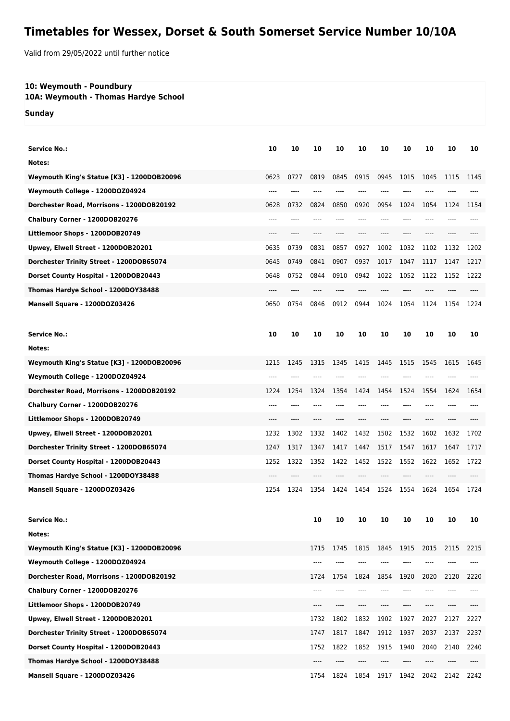## **Timetables for Wessex, Dorset & South Somerset Service Number 10/10A**

Valid from 29/05/2022 until further notice

## **10: Weymouth - Poundbury**

**10A: Weymouth - Thomas Hardye School**

**Sunday**

| <b>Service No.:</b>                        | 10    | 10   | 10   | 10         | 10   | 10   | 10    | 10   | 10   | 10   |
|--------------------------------------------|-------|------|------|------------|------|------|-------|------|------|------|
| Notes:                                     |       |      |      |            |      |      |       |      |      |      |
| Weymouth King's Statue [K3] - 1200DOB20096 | 0623  | 0727 | 0819 | 0845       | 0915 | 0945 | 1015  | 1045 | 1115 | 1145 |
| Weymouth College - 1200DOZ04924            |       |      |      |            |      |      |       |      |      |      |
| Dorchester Road, Morrisons - 1200DOB20192  | 0628  | 0732 | 0824 | 0850       | 0920 | 0954 | 1024  | 1054 | 1124 | 1154 |
| Chalbury Corner - 1200DOB20276             | ----  |      |      |            |      | ---- |       |      |      |      |
| Littlemoor Shops - 1200DOB20749            | ----  |      |      |            |      | ---- |       |      |      |      |
| Upwey, Elwell Street - 1200DOB20201        | 0635  | 0739 | 0831 | 0857       | 0927 | 1002 | 1032  | 1102 | 1132 | 1202 |
| Dorchester Trinity Street - 1200DOB65074   | 0645  | 0749 | 0841 | 0907       | 0937 | 1017 | 1047  | 1117 | 1147 | 1217 |
| Dorset County Hospital - 1200DOB20443      | 0648  | 0752 | 0844 | 0910       | 0942 | 1022 | 1052  | 1122 | 1152 | 1222 |
| Thomas Hardye School - 1200DOY38488        | $---$ |      | ---- |            |      |      |       |      |      |      |
| Mansell Square - 1200DOZ03426              | 0650  | 0754 | 0846 | 0912       | 0944 | 1024 | 1054  | 1124 | 1154 | 1224 |
|                                            |       |      |      |            |      |      |       |      |      |      |
| <b>Service No.:</b>                        | 10    | 10   | 10   | 10         | 10   | 10   | 10    | 10   | 10   | 10   |
| Notes:                                     |       |      |      |            |      |      |       |      |      |      |
| Weymouth King's Statue [K3] - 1200DOB20096 | 1215  | 1245 | 1315 | 1345       | 1415 | 1445 | 1515  | 1545 | 1615 | 1645 |
| Weymouth College - 1200DOZ04924            | ----  |      |      |            |      |      |       |      |      |      |
| Dorchester Road, Morrisons - 1200DOB20192  | 1224  | 1254 | 1324 | 1354       | 1424 | 1454 | 1524  | 1554 | 1624 | 1654 |
| Chalbury Corner - 1200DOB20276             | ----  |      |      |            | ---- | ---- |       |      |      |      |
| Littlemoor Shops - 1200DOB20749            |       |      |      |            |      |      |       |      |      |      |
| Upwey, Elwell Street - 1200DOB20201        | 1232  | 1302 | 1332 | 1402       | 1432 | 1502 | 1532  | 1602 | 1632 | 1702 |
| Dorchester Trinity Street - 1200DOB65074   | 1247  | 1317 | 1347 | 1417       | 1447 | 1517 | 1547  | 1617 | 1647 | 1717 |
| Dorset County Hospital - 1200DOB20443      | 1252  | 1322 | 1352 | 1422       | 1452 | 1522 | 1552  | 1622 | 1652 | 1722 |
| Thomas Hardye School - 1200DOY38488        | $---$ | ---- |      |            | ---- |      |       |      |      |      |
| Mansell Square - 1200DOZ03426              | 1254  | 1324 | 1354 | 1424       | 1454 | 1524 | 1554  | 1624 | 1654 | 1724 |
|                                            |       |      |      |            |      |      |       |      |      |      |
| <b>Service No.:</b>                        |       |      | 10   | ${\bf 10}$ | 10   | 10   | 10    | 10   | 10   | 10   |
| Notes:                                     |       |      |      |            |      |      |       |      |      |      |
| Weymouth King's Statue [K3] - 1200DOB20096 |       |      | 1715 | 1745       | 1815 | 1845 | 1915  | 2015 | 2115 | 2215 |
| Weymouth College - 1200DOZ04924            |       |      | ---- |            |      | ---- |       |      |      |      |
| Dorchester Road, Morrisons - 1200DOB20192  |       |      | 1724 | 1754       | 1824 | 1854 | 1920  | 2020 | 2120 | 2220 |
| Chalbury Corner - 1200DOB20276             |       |      | ---- |            | ---- | ---- | $---$ | ---- |      |      |
| Littlemoor Shops - 1200DOB20749            |       |      | ---- |            | ---- | ---- | $---$ | ---- |      |      |
| Upwey, Elwell Street - 1200DOB20201        |       |      | 1732 | 1802       | 1832 | 1902 | 1927  | 2027 | 2127 | 2227 |
| Dorchester Trinity Street - 1200DOB65074   |       |      | 1747 | 1817       | 1847 | 1912 | 1937  | 2037 | 2137 | 2237 |
| Dorset County Hospital - 1200DOB20443      |       |      | 1752 | 1822       | 1852 | 1915 | 1940  | 2040 | 2140 | 2240 |
| Thomas Hardye School - 1200DOY38488        |       |      | ---- |            |      |      |       |      |      |      |
| Mansell Square - 1200DOZ03426              |       |      | 1754 | 1824       | 1854 | 1917 | 1942  | 2042 | 2142 | 2242 |